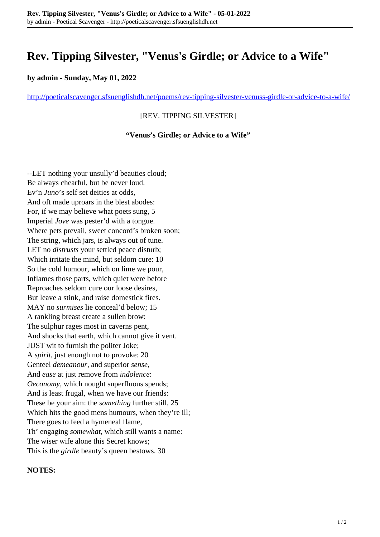# **Rev. Tipping Silvester, "Venus's Girdle; or Advice to a Wife"**

### **by admin - Sunday, May 01, 2022**

<http://poeticalscavenger.sfsuenglishdh.net/poems/rev-tipping-silvester-venuss-girdle-or-advice-to-a-wife/>

# [REV. TIPPING SILVESTER]

#### **"Venus's Girdle; or Advice to a Wife"**

--LET nothing your unsully'd beauties cloud; Be always chearful, but be never loud. Ev'n *Juno*'s self set deities at odds, And oft made uproars in the blest abodes: For, if we may believe what poets sung, 5 Imperial *Jove* was pester'd with a tongue. Where pets prevail, sweet concord's broken soon; The string, which jars, is always out of tune. LET no *distrusts* your settled peace disturb; Which irritate the mind, but seldom cure: 10 So the cold humour, which on lime we pour, Inflames those parts, which quiet were before Reproaches seldom cure our loose desires, But leave a stink, and raise domestick fires. MAY no *surmises* lie conceal'd below; 15 A rankling breast create a sullen brow: The sulphur rages most in caverns pent, And shocks that earth, which cannot give it vent. JUST wit to furnish the politer Joke; A *spirit*, just enough not to provoke: 20 Genteel *demeanour*, and superior *sense*, And *ease* at just remove from *indolence*: *Oeconomy*, which nought superfluous spends; And is least frugal, when we have our friends: These be your aim: the *something* further still, 25 Which hits the good mens humours, when they're ill; There goes to feed a hymeneal flame, Th' engaging *somewhat*, which still wants a name: The wiser wife alone this Secret knows; This is the *girdle* beauty's queen bestows. 30

## **NOTES:**